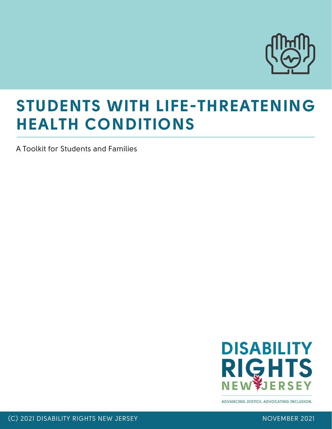

A Toolkit for Students and Families



**ADVANCING JUSTICE, ADVOCATING INCLUSION.**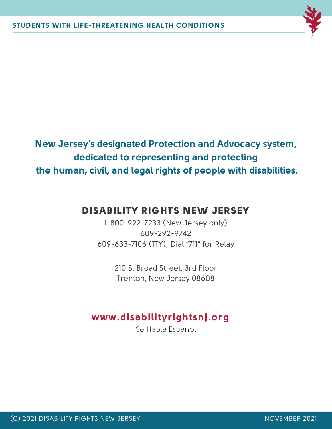

**New Jersey's designated Protection and Advocacy system, dedicated to representing and protecting the human, civil, and legal rights of people with disabilities.**

# DISABILITY RIGHTS NEW JERSEY

1-800-922-7233 (New Jersey only) 609-292-9742 609-633-7106 (TTY); Dial "711" for Relay

> 210 S. Broad Street, 3rd Floor Trenton, New Jersey 08608

# **www.disabilityrightsnj.org**

Se Habla Espaňol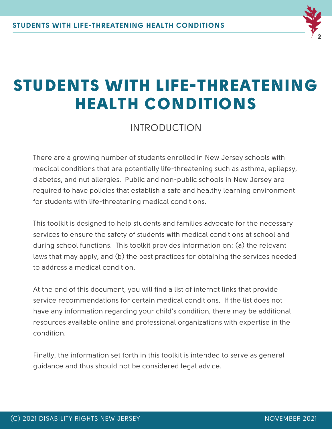

# INTRODUCTION

There are a growing number of students enrolled in New Jersey schools with medical conditions that are potentially life-threatening such as asthma, epilepsy, diabetes, and nut allergies. Public and non-public schools in New Jersey are required to have policies that establish a safe and healthy learning environment for students with life-threatening medical conditions.

This toolkit is designed to help students and families advocate for the necessary services to ensure the safety of students with medical conditions at school and during school functions. This toolkit provides information on: (a) the relevant laws that may apply, and (b) the best practices for obtaining the services needed to address a medical condition.

At the end of this document, you will find a list of internet links that provide service recommendations for certain medical conditions. If the list does not have any information regarding your child's condition, there may be additional resources available online and professional organizations with expertise in the condition.

Finally, the information set forth in this toolkit is intended to serve as general guidance and thus should not be considered legal advice.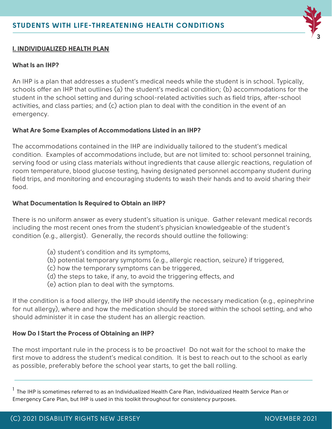

#### **I. INDIVIDUALIZED HEALTH PLAN**

#### **What Is an IHP?**

An IHP is a plan that addresses a student's medical needs while the student is in school. Typically, schools offer an IHP that outlines (a) the student's medical condition; (b) accommodations for the student in the school setting and during school-related activities such as field trips, after-school activities, and class parties; and (c) action plan to deal with the condition in the event of an emergency.

#### **What Are Some Examples of Accommodations Listed in an IHP?**

The accommodations contained in the IHP are individually tailored to the student's medical condition. Examples of accommodations include, but are not limited to: school personnel training, serving food or using class materials without ingredients that cause allergic reactions, regulation of room temperature, blood glucose testing, having designated personnel accompany student during field trips, and monitoring and encouraging students to wash their hands and to avoid sharing their food.

#### **What Documentation Is Required to Obtain an IHP?**

There is no uniform answer as every student's situation is unique. Gather relevant medical records including the most recent ones from the student's physician knowledgeable of the student's condition (e.g., allergist). Generally, the records should outline the following:

- (a) student's condition and its symptoms,
- (b) potential temporary symptoms (e.g., allergic reaction, seizure) if triggered,
- (c) how the temporary symptoms can be triggered,
- (d) the steps to take, if any, to avoid the triggering effects, and
- (e) action plan to deal with the symptoms.

If the condition is a food allergy, the IHP should identify the necessary medication (e.g., epinephrine for nut allergy), where and how the medication should be stored within the school setting, and who should administer it in case the student has an allergic reaction.

#### **How Do I Start the Process of Obtaining an IHP?**

The most important rule in the process is to be proactive! Do not wait for the school to make the first move to address the student's medical condition. It is best to reach out to the school as early as possible, preferably before the school year starts, to get the ball rolling.

 $^{\text{\textsf{I}}}$  The IHP is sometimes referred to as an Individualized Health Care Plan, Individualized Health Service Plan or Emergency Care Plan, but IHP is used in this toolkit throughout for consistency purposes.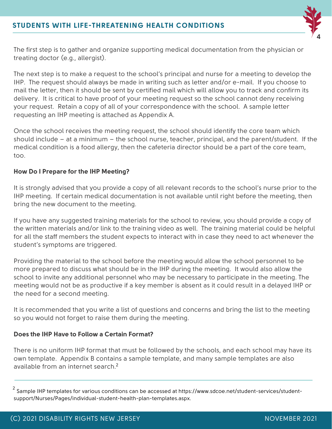

The first step is to gather and organize supporting medical documentation from the physician or treating doctor (e.g., allergist).

The next step is to make a request to the school's principal and nurse for a meeting to develop the IHP. The request should always be made in writing such as letter and/or e-mail. If you choose to mail the letter, then it should be sent by certified mail which will allow you to track and confirm its delivery. It is critical to have proof of your meeting request so the school cannot deny receiving your request. Retain a copy of all of your correspondence with the school. A sample letter requesting an IHP meeting is attached as Appendix A.

Once the school receives the meeting request, the school should identify the core team which should include – at a minimum – the school nurse, teacher, principal, and the parent/student. If the medical condition is a food allergy, then the cafeteria director should be a part of the core team, too.

#### **How Do I Prepare for the IHP Meeting?**

It is strongly advised that you provide a copy of all relevant records to the school's nurse prior to the IHP meeting. If certain medical documentation is not available until right before the meeting, then bring the new document to the meeting.

If you have any suggested training materials for the school to review, you should provide a copy of the written materials and/or link to the training video as well. The training material could be helpful for all the staff members the student expects to interact with in case they need to act whenever the student's symptoms are triggered.

Providing the material to the school before the meeting would allow the school personnel to be more prepared to discuss what should be in the IHP during the meeting. It would also allow the school to invite any additional personnel who may be necessary to participate in the meeting. The meeting would not be as productive if a key member is absent as it could result in a delayed IHP or the need for a second meeting.

It is recommended that you write a list of questions and concerns and bring the list to the meeting so you would not forget to raise them during the meeting.

#### **Does the IHP Have to Follow a Certain Format?**

There is no uniform IHP format that must be followed by the schools, and each school may have its own template. Appendix B contains a sample template, and many sample templates are also available from an internet search. 2

 $^{\text{2}}$  Sample IHP templates for various conditions can be accessed at https://www.sdcoe.net/student-services/studentsupport/Nurses/Pages/individual-student-health-plan-templates.aspx.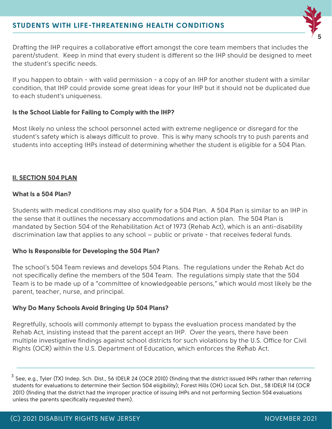

Drafting the IHP requires a collaborative effort amongst the core team members that includes the parent/student. Keep in mind that every student is different so the IHP should be designed to meet the student's specific needs.

If you happen to obtain - with valid permission - a copy of an IHP for another student with a similar condition, that IHP could provide some great ideas for your IHP but it should not be duplicated due to each student's uniqueness.

#### **Is the School Liable for Failing to Comply with the IHP?**

Most likely no unless the school personnel acted with extreme negligence or disregard for the student's safety which is always difficult to prove. This is why many schools try to push parents and students into accepting IHPs instead of determining whether the student is eligible for a 504 Plan.

#### **II. SECTION 504 PLAN**

#### **What Is a 504 Plan?**

Students with medical conditions may also qualify for a 504 Plan. A 504 Plan is similar to an IHP in the sense that it outlines the necessary accommodations and action plan. The 504 Plan is mandated by Section 504 of the Rehabilitation Act of 1973 (Rehab Act), which is an anti-disability discrimination law that applies to any school – public or private - that receives federal funds.

#### **Who Is Responsible for Developing the 504 Plan?**

The school's 504 Team reviews and develops 504 Plans. The regulations under the Rehab Act do not specifically define the members of the 504 Team. The regulations simply state that the 504 Team is to be made up of a "committee of knowledgeable persons," which would most likely be the parent, teacher, nurse, and principal.

#### **Why Do Many Schools Avoid Bringing Up 504 Plans?**

Regretfully, schools will commonly attempt to bypass the evaluation process mandated by the Rehab Act, insisting instead that the parent accept an IHP. Over the years, there have been multiple investigative findings against school districts for such violations by the U.S. Office for Civil Rights (OCR) within the U.S. Department of Education, which enforces the Rehab Act. 3

 $^3$  See, e.g., Tyler (TX) Indep. Sch. Dist., 56 IDELR 24 (OCR 2010) (finding that the district issued IHPs rather than referring students for evaluations to determine their Section 504 eligibility); Forest Hills (OH) Local Sch. Dist., 58 IDELR 114 (OCR 2011) (finding that the district had the improper practice of issuing IHPs and not performing Section 504 evaluations unless the parents specifically requested them).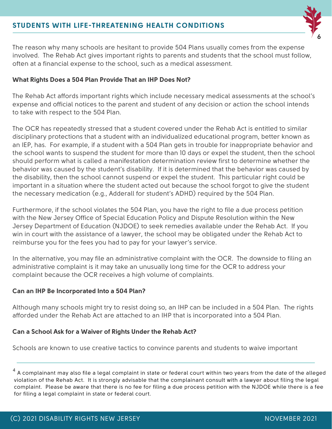

The reason why many schools are hesitant to provide 504 Plans usually comes from the expense involved. The Rehab Act gives important rights to parents and students that the school must follow, often at a financial expense to the school, such as a medical assessment.

#### **What Rights Does a 504 Plan Provide That an IHP Does Not?**

The Rehab Act affords important rights which include necessary medical assessments at the school's expense and official notices to the parent and student of any decision or action the school intends to take with respect to the 504 Plan.

The OCR has repeatedly stressed that a student covered under the Rehab Act is entitled to similar disciplinary protections that a student with an individualized educational program, better known as an IEP, has. For example, if a student with a 504 Plan gets in trouble for inappropriate behavior and the school wants to suspend the student for more than 10 days or expel the student, then the school should perform what is called a manifestation determination review first to determine whether the behavior was caused by the student's disability. If it is determined that the behavior was caused by the disability, then the school cannot suspend or expel the student. This particular right could be important in a situation where the student acted out because the school forgot to give the student the necessary medication (e.g., Adderall for student's ADHD) required by the 504 Plan.

Furthermore, if the school violates the 504 Plan, you have the right to file a due process petition with the New Jersey Office of Special Education Policy and Dispute Resolution within the New Jersey Department of Education (NJDOE) to seek remedies available under the Rehab Act. If you win in court with the assistance of a lawyer, the school may be obligated under the Rehab Act to reimburse you for the fees you had to pay for your lawyer's service.

In the alternative, you may file an administrative complaint with the OCR. The downside to filing an administrative complaint is it may take an unusually long time for the OCR to address your complaint because the OCR receives a high volume of complaints.

#### **Can an IHP Be Incorporated Into a 504 Plan?**

Although many schools might try to resist doing so, an IHP can be included in a 504 Plan. The rights afforded under the Rehab Act are attached to an IHP that is incorporated into a 504 Plan.

#### **Can a School Ask for a Waiver of Rights Under the Rehab Act?**

Schools are known to use creative tactics to convince parents and students to waive important

 $^4$  A complainant may also file a legal complaint in state or federal court within two years from the date of the alleged violation of the Rehab Act. It is strongly advisable that the complainant consult with a lawyer about filing the legal complaint. Please be aware that there is no fee for filing a due process petition with the NJDOE while there is a fee for filing a legal complaint in state or federal court.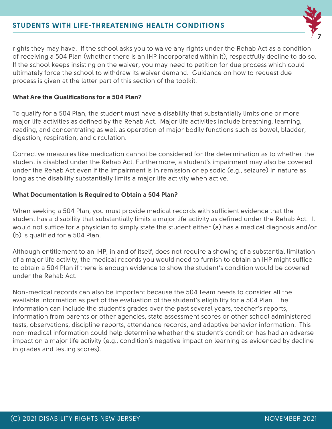

rights they may have. If the school asks you to waive any rights under the Rehab Act as a condition of receiving a 504 Plan (whether there is an IHP incorporated within it), respectfully decline to do so. If the school keeps insisting on the waiver, you may need to petition for due process which could ultimately force the school to withdraw its waiver demand. Guidance on how to request due process is given at the latter part of this section of the toolkit.

#### **What Are the Qualifications for a 504 Plan?**

To qualify for a 504 Plan, the student must have a disability that substantially limits one or more major life activities as defined by the Rehab Act. Major life activities include breathing, learning, reading, and concentrating as well as operation of major bodily functions such as bowel, bladder, digestion, respiration, and circulation.

Corrective measures like medication cannot be considered for the determination as to whether the student is disabled under the Rehab Act. Furthermore, a student's impairment may also be covered under the Rehab Act even if the impairment is in remission or episodic (e.g., seizure) in nature as long as the disability substantially limits a major life activity when active.

#### **What Documentation Is Required to Obtain a 504 Plan?**

When seeking a 504 Plan, you must provide medical records with sufficient evidence that the student has a disability that substantially limits a major life activity as defined under the Rehab Act. It would not suffice for a physician to simply state the student either (a) has a medical diagnosis and/or (b) is qualified for a 504 Plan.

Although entitlement to an IHP, in and of itself, does not require a showing of a substantial limitation of a major life activity, the medical records you would need to furnish to obtain an IHP might suffice to obtain a 504 Plan if there is enough evidence to show the student's condition would be covered under the Rehab Act.

Non-medical records can also be important because the 504 Team needs to consider all the available information as part of the evaluation of the student's eligibility for a 504 Plan. The information can include the student's grades over the past several years, teacher's reports, information from parents or other agencies, state assessment scores or other school administered tests, observations, discipline reports, attendance records, and adaptive behavior information. This non-medical information could help determine whether the student's condition has had an adverse impact on a major life activity (e.g., condition's negative impact on learning as evidenced by decline in grades and testing scores).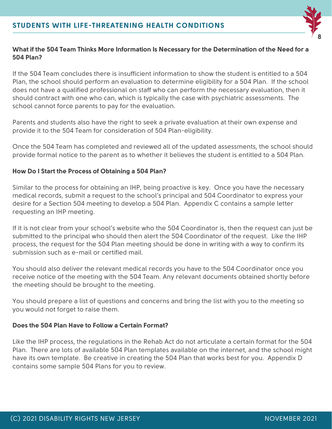

## **What if the 504 Team Thinks More Information Is Necessary for the Determination of the Need for a 504 Plan?**

If the 504 Team concludes there is insufficient information to show the student is entitled to a 504 Plan, the school should perform an evaluation to determine eligibility for a 504 Plan. If the school does not have a qualified professional on staff who can perform the necessary evaluation, then it should contract with one who can, which is typically the case with psychiatric assessments. The school cannot force parents to pay for the evaluation.

Parents and students also have the right to seek a private evaluation at their own expense and provide it to the 504 Team for consideration of 504 Plan-eligibility.

Once the 504 Team has completed and reviewed all of the updated assessments, the school should provide formal notice to the parent as to whether it believes the student is entitled to a 504 Plan.

## **How Do I Start the Process of Obtaining a 504 Plan?**

Similar to the process for obtaining an IHP, being proactive is key. Once you have the necessary medical records, submit a request to the school's principal and 504 Coordinator to express your desire for a Section 504 meeting to develop a 504 Plan. Appendix C contains a sample letter requesting an IHP meeting.

If it is not clear from your school's website who the 504 Coordinator is, then the request can just be submitted to the principal who should then alert the 504 Coordinator of the request. Like the IHP process, the request for the 504 Plan meeting should be done in writing with a way to confirm its submission such as e-mail or certified mail.

You should also deliver the relevant medical records you have to the 504 Coordinator once you receive notice of the meeting with the 504 Team. Any relevant documents obtained shortly before the meeting should be brought to the meeting.

You should prepare a list of questions and concerns and bring the list with you to the meeting so you would not forget to raise them.

### **Does the 504 Plan Have to Follow a Certain Format?**

Like the IHP process, the regulations in the Rehab Act do not articulate a certain format for the 504 Plan. There are lots of available 504 Plan templates available on the internet, and the school might have its own template. Be creative in creating the 504 Plan that works best for you. Appendix D contains some sample 504 Plans for you to review.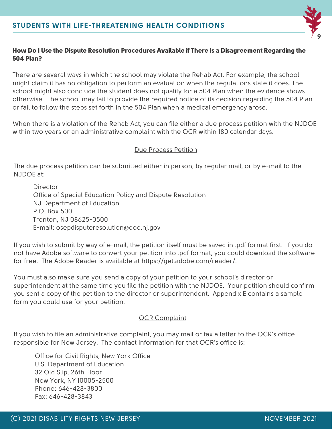

#### How Do I Use the Dispute Resolution Procedures Available if There Is a Disagreement Regarding the 504 Plan?

There are several ways in which the school may violate the Rehab Act. For example, the school might claim it has no obligation to perform an evaluation when the regulations state it does. The school might also conclude the student does not qualify for a 504 Plan when the evidence shows otherwise. The school may fail to provide the required notice of its decision regarding the 504 Plan or fail to follow the steps set forth in the 504 Plan when a medical emergency arose.

When there is a violation of the Rehab Act, you can file either a due process petition with the NJDOE within two years or an administrative complaint with the OCR within 180 calendar days.

#### Due Process Petition

The due process petition can be submitted either in person, by regular mail, or by e-mail to the NJDOE at:

Director Office of Special Education Policy and Dispute Resolution NJ Department of Education P.O. Box 500 Trenton, NJ 08625-0500 E-mail: osepdisputeresolution@doe.nj.gov

If you wish to submit by way of e-mail, the petition itself must be saved in .pdf format first. If you do not have Adobe software to convert your petition into .pdf format, you could download the software for free. The Adobe Reader is available at https://get.adobe.com/reader/.

You must also make sure you send a copy of your petition to your school's director or superintendent at the same time you file the petition with the NJDOE. Your petition should confirm you sent a copy of the petition to the director or superintendent. Appendix E contains a sample form you could use for your petition.

#### OCR Complaint

If you wish to file an administrative complaint, you may mail or fax a letter to the OCR's office responsible for New Jersey. The contact information for that OCR's office is:

Office for Civil Rights, New York Office U.S. Department of Education 32 Old Slip, 26th Floor New York, NY 10005-2500 Phone: 646-428-3800 Fax: 646-428-3843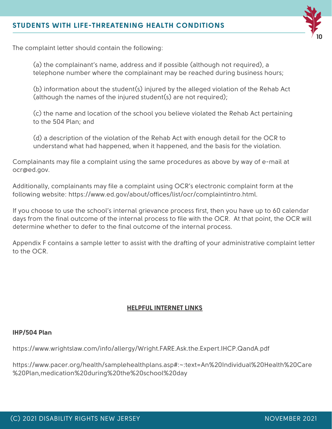

The complaint letter should contain the following:

(a) the complainant's name, address and if possible (although not required), a telephone number where the complainant may be reached during business hours;

(b) information about the student(s) injured by the alleged violation of the Rehab Act (although the names of the injured student(s) are not required);

(c) the name and location of the school you believe violated the Rehab Act pertaining to the 504 Plan; and

(d) a description of the violation of the Rehab Act with enough detail for the OCR to understand what had happened, when it happened, and the basis for the violation.

Complainants may file a complaint using the same procedures as above by way of e-mail at ocr@ed.gov.

Additionally, complainants may file a complaint using OCR's electronic complaint form at the following website: https://www.ed.gov/about/offices/list/ocr/complaintintro.html.

If you choose to use the school's internal grievance process first, then you have up to 60 calendar days from the final outcome of the internal process to file with the OCR. At that point, the OCR will determine whether to defer to the final outcome of the internal process.

Appendix F contains a sample letter to assist with the drafting of your administrative complaint letter to the OCR.

#### **HELPFUL INTERNET LINKS**

#### **IHP/504 Plan**

https://www.wrightslaw.com/info/allergy/Wright.FARE.Ask.the.Expert.IHCP.QandA.pdf

https://www.pacer.org/health/samplehealthplans.asp#:~:text=An%20Individual%20Health%20Care %20Plan,medication%20during%20the%20school%20day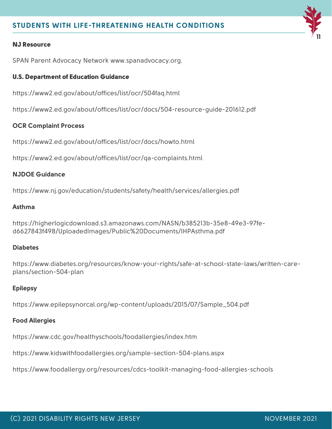#### NJ Resource

SPAN Parent Advocacy Network [www.spanadvocacy.org.](http://www.spanadvocacy.org/)

#### U.S. Department of Education Guidance

https://www2.ed.gov/about/offices/list/ocr/504faq.html

https://www2.ed.gov/about/offices/list/ocr/docs/504-resource-guide-201612.pdf

#### **OCR Complaint Process**

https://www2.ed.gov/about/offices/list/ocr/docs/howto.html

https://www2.ed.gov/about/offices/list/ocr/qa-complaints.html

#### **NJDOE Guidance**

https://www.nj.gov/education/students/safety/health/services/allergies.pdf

#### **Asthma**

https://higherlogicdownload.s3.amazonaws.com/NASN/b385213b-35e8-49e3-97fed6627843f498/UploadedImages/Public%20Documents/IHPAsthma.pdf

#### **Diabetes**

https://www.diabetes.org/resources/know-your-rights/safe-at-school-state-laws/written-careplans/section-504-plan

#### **Epilepsy**

https://www.epilepsynorcal.org/wp-content/uploads/2015/07/Sample\_504.pdf

#### **Food Allergies**

https://www.cdc.gov/healthyschools/foodallergies/index.htm

https://www.kidswithfoodallergies.org/sample-section-504-plans.aspx

https://www.foodallergy.org/resources/cdcs-toolkit-managing-food-allergies-schools

**11**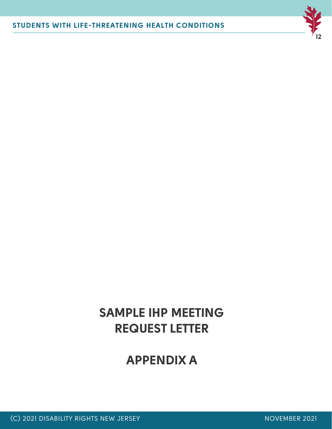

# **SAMPLE IHP MEETING REQUEST LETTER**

# **APPENDIX A**

(C) 2021 DISABILITY RIGHTS NEW JERSEY NOVEMBER 2021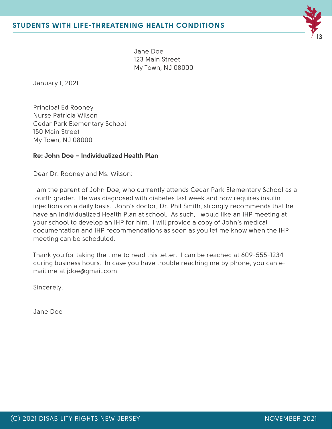

Jane Doe 123 Main Street My Town, NJ 08000

January 1, 2021

Principal Ed Rooney Nurse Patricia Wilson Cedar Park Elementary School 150 Main Street My Town, NJ 08000

#### **Re: John Doe – Individualized Health Plan**

Dear Dr. Rooney and Ms. Wilson:

I am the parent of John Doe, who currently attends Cedar Park Elementary School as a fourth grader. He was diagnosed with diabetes last week and now requires insulin injections on a daily basis. John's doctor, Dr. Phil Smith, strongly recommends that he have an Individualized Health Plan at school. As such, I would like an IHP meeting at your school to develop an IHP for him. I will provide a copy of John's medical documentation and IHP recommendations as soon as you let me know when the IHP meeting can be scheduled.

Thank you for taking the time to read this letter. I can be reached at 609-555-1234 during business hours. In case you have trouble reaching me by phone, you can email me at jdoe@gmail.com.

Sincerely,

Jane Doe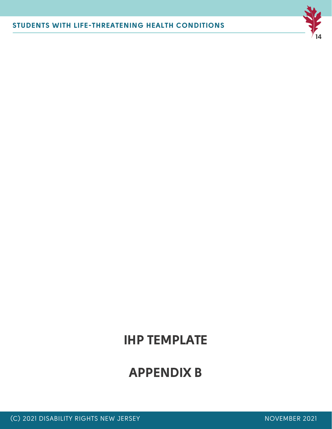# **APPENDIX B**

# **IHP TEMPLATE**



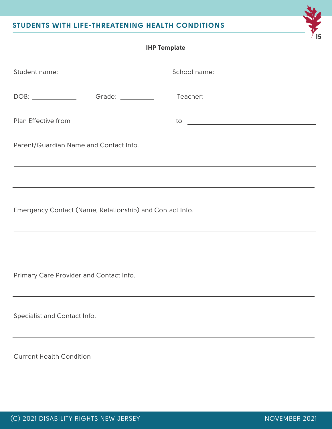| <b>IHP Template</b>                                                                                                                                                                                                                             |  |  |  |
|-------------------------------------------------------------------------------------------------------------------------------------------------------------------------------------------------------------------------------------------------|--|--|--|
|                                                                                                                                                                                                                                                 |  |  |  |
|                                                                                                                                                                                                                                                 |  |  |  |
|                                                                                                                                                                                                                                                 |  |  |  |
| Parent/Guardian Name and Contact Info.                                                                                                                                                                                                          |  |  |  |
| <u> 1989 - Jan Barat, margaret amerikan basa dan basa dan basa dan basa dan basa dan basa dan basa dan basa dan b</u>                                                                                                                           |  |  |  |
| ,我们也不能在这里的时候,我们也不能在这里的时候,我们也不能在这里的时候,我们也不能会不能会不能会不能会不能会不能会不能会不能会。<br>第2012章 我们的时候,我们的时候,我们的时候,我们的时候,我们的时候,我们的时候,我们的时候,我们的时候,我们的时候,我们的时候,我们的时候,我们的时候,我<br>Emergency Contact (Name, Relationship) and Contact Info.                               |  |  |  |
| <u> 1989 - Andrea Santana, amerikana amerikana amerikana amerikana amerikana amerikana amerikana amerikana amerika</u><br><u> 1989 - Johann Harry Harry Harry Harry Harry Harry Harry Harry Harry Harry Harry Harry Harry Harry Harry Harry</u> |  |  |  |
| Primary Care Provider and Contact Info.                                                                                                                                                                                                         |  |  |  |
| Specialist and Contact Info.                                                                                                                                                                                                                    |  |  |  |
| <b>Current Health Condition</b>                                                                                                                                                                                                                 |  |  |  |

**15**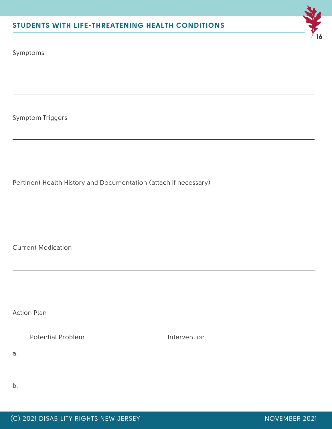

Symptoms

Symptom Triggers

Pertinent Health History and Documentation (attach if necessary)

Current Medication

Action Plan

Potential Problem and Intervention

a.

b.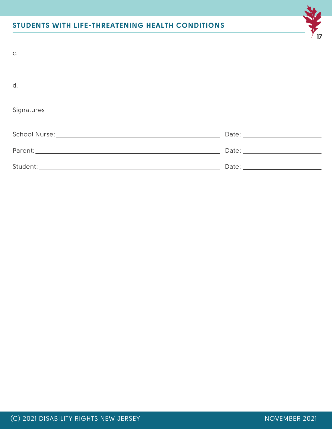| C.         |              |
|------------|--------------|
| d.         |              |
| Signatures |              |
|            |              |
|            |              |
| Student:   | Date: $\_\_$ |

**17**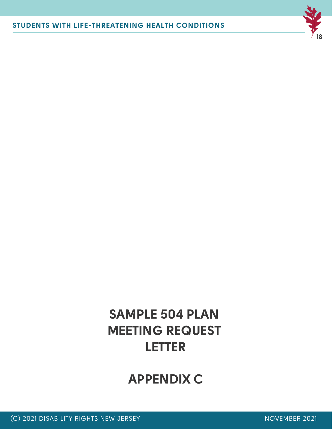

# **SAMPLE 504 PLAN MEETING REQUEST LETTER**

# **APPENDIX C**

(C) 2021 DISABILITY RIGHTS NEW JERSEY NOVEMBER 2021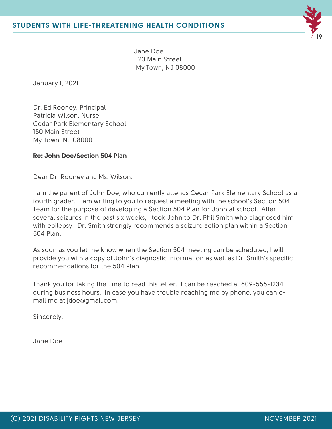

Jane Doe 123 Main Street My Town, NJ 08000

January 1, 2021

Dr. Ed Rooney, Principal Patricia Wilson, Nurse Cedar Park Elementary School 150 Main Street My Town, NJ 08000

#### **Re: John Doe/Section 504 Plan**

Dear Dr. Rooney and Ms. Wilson:

I am the parent of John Doe, who currently attends Cedar Park Elementary School as a fourth grader. I am writing to you to request a meeting with the school's Section 504 Team for the purpose of developing a Section 504 Plan for John at school. After several seizures in the past six weeks, I took John to Dr. Phil Smith who diagnosed him with epilepsy. Dr. Smith strongly recommends a seizure action plan within a Section 504 Plan.

As soon as you let me know when the Section 504 meeting can be scheduled, I will provide you with a copy of John's diagnostic information as well as Dr. Smith's specific recommendations for the 504 Plan.

Thank you for taking the time to read this letter. I can be reached at 609-555-1234 during business hours. In case you have trouble reaching me by phone, you can email me at jdoe@gmail.com.

Sincerely,

Jane Doe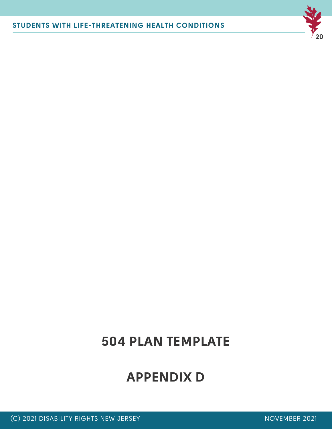

# **504 PLAN TEMPLATE**

**APPENDIX D**

(C) 2021 DISABILITY RIGHTS NEW JERSEY NOVEMBER 2021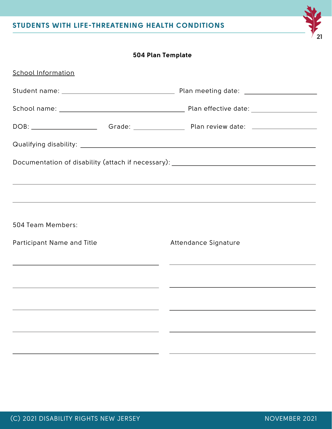# **504 Plan Template**

| <b>School Information</b>  |  |                                                                                  |
|----------------------------|--|----------------------------------------------------------------------------------|
|                            |  |                                                                                  |
|                            |  |                                                                                  |
|                            |  |                                                                                  |
|                            |  |                                                                                  |
|                            |  | Documentation of disability (attach if necessary): _____________________________ |
|                            |  | ,我们也不会有什么?""我们的人,我们也不会有什么?""我们的人,我们也不会有什么?""我们的人,我们也不会有什么?""我们的人,我们也不会有什么?""我们的人 |
|                            |  | ,我们也不会有什么。""我们的人,我们也不会有什么?""我们的人,我们也不会有什么?""我们的人,我们也不会有什么?""我们的人,我们也不会有什么?""我们的人 |
| 504 Team Members:          |  |                                                                                  |
| Participant Name and Title |  | Attendance Signature                                                             |
|                            |  | <u> 1990 - Jan Barat, Amerikaansk politiker (* 1900)</u>                         |
|                            |  | <u> 2001 - Jan James Alexander (f. 1982)</u>                                     |
|                            |  |                                                                                  |
|                            |  |                                                                                  |
|                            |  |                                                                                  |
|                            |  |                                                                                  |

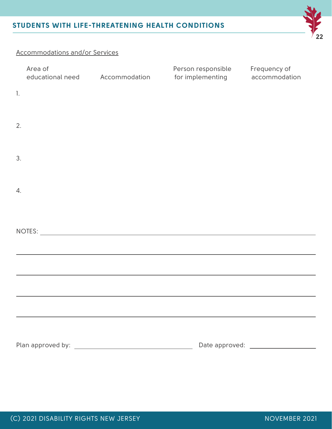

# Accommodations and/or Services

|                 | Area of<br>educational need | Accommodation | Person responsible Frequency of<br>for implementing | accommodation |
|-----------------|-----------------------------|---------------|-----------------------------------------------------|---------------|
| 1.              |                             |               |                                                     |               |
| 2.              |                             |               |                                                     |               |
| 3.              |                             |               |                                                     |               |
| $\mathcal{A}$ . |                             |               |                                                     |               |
|                 |                             |               |                                                     |               |
|                 |                             |               |                                                     |               |
|                 |                             |               |                                                     |               |
|                 |                             |               |                                                     |               |
|                 |                             |               |                                                     |               |
|                 |                             |               |                                                     |               |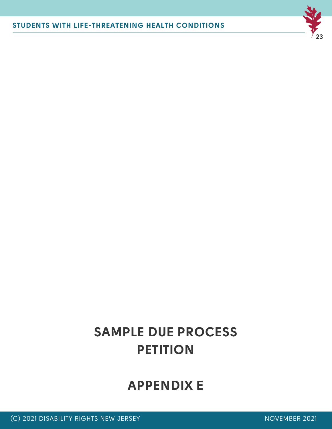# **APPENDIX E**

# **SAMPLE DUE PROCESS PETITION**

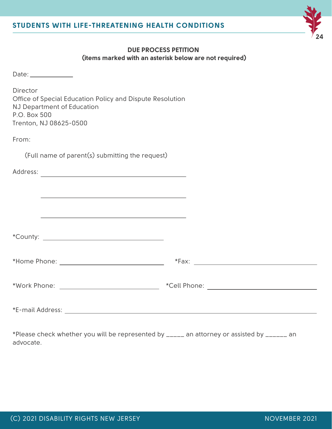

### **DUE PROCESS PETITION (items marked with an asterisk below are not required)**

| $\sim$<br>$\sim$<br>÷<br>-<br>× |  |
|---------------------------------|--|
|                                 |  |

**Director** Office of Special Education Policy and Dispute Resolution NJ Department of Education P.O. Box 500 Trenton, NJ 08625-0500

From:

(Full name of parent(s) submitting the request)

| Address:<br><u> 1989 - Johann Barn, fransk politik (d. 1989)</u>    |  |
|---------------------------------------------------------------------|--|
|                                                                     |  |
| <u> 1989 - Johann John Stone, Amerikaansk konstantiner (* 1908)</u> |  |
|                                                                     |  |
|                                                                     |  |
|                                                                     |  |
|                                                                     |  |
| *E-mail Address:                                                    |  |

\*Please check whether you will be represented by \_\_\_\_\_ an attorney or assisted by \_\_\_\_\_\_ an advocate.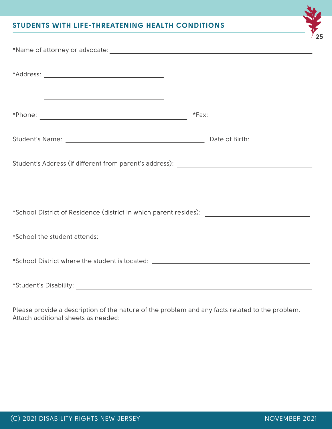| the contract of the contract of the contract of the contract of the contract of                                       |  |
|-----------------------------------------------------------------------------------------------------------------------|--|
|                                                                                                                       |  |
| <u> 1989 - Johann Stoff, deutscher Stoff, der Stoff, der Stoff, der Stoff, der Stoff, der Stoff, der Stoff, der S</u> |  |
| *School District of Residence (district in which parent resides): __________________________________                  |  |
|                                                                                                                       |  |
| *School District where the student is located: __________________________________                                     |  |
|                                                                                                                       |  |

Please provide a description of the nature of the problem and any facts related to the problem. Attach additional sheets as needed:

**25**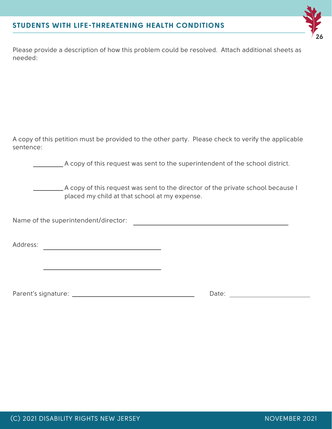

Please provide a description of how this problem could be resolved. Attach additional sheets as needed:

A copy of this petition must be provided to the other party. Please check to verify the applicable sentence:

A copy of this request was sent to the superintendent of the school district.

A copy of this request was sent to the director of the private school because I placed my child at that school at my expense.

<u> 1980 - John Barn Barn, amerikan basar personal di banyak bagian di banyak di banyak di banyak di banyak di ba</u>

Name of the superintendent/director:

Address: which is a set of the set of the set of the set of the set of the set of the set of the set of the set of the set of the set of the set of the set of the set of the set of the set of the set of the set of the set

Parent's signature: Date: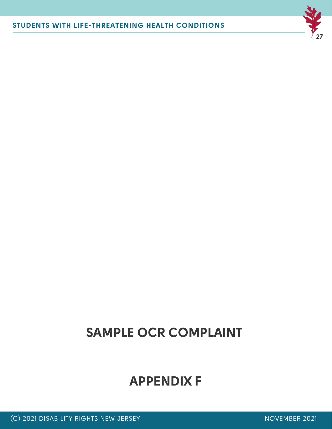# **APPENDIX F**

# **SAMPLE OCR COMPLAINT**